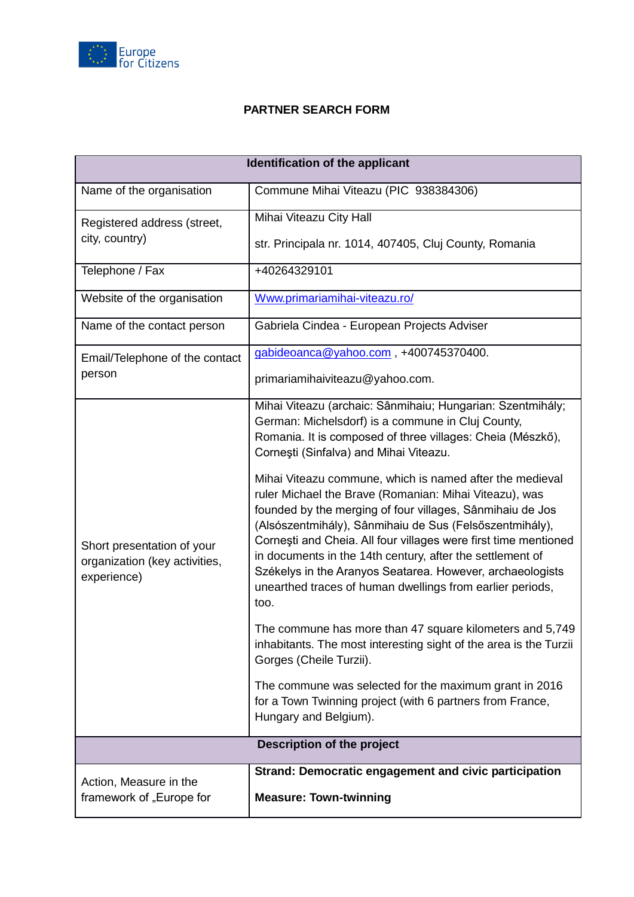

## **PARTNER SEARCH FORM**

| Identification of the applicant                                            |                                                                                                                                                                                                                                                                                                                                                                                        |
|----------------------------------------------------------------------------|----------------------------------------------------------------------------------------------------------------------------------------------------------------------------------------------------------------------------------------------------------------------------------------------------------------------------------------------------------------------------------------|
| Name of the organisation                                                   | Commune Mihai Viteazu (PIC 938384306)                                                                                                                                                                                                                                                                                                                                                  |
| Registered address (street,<br>city, country)                              | Mihai Viteazu City Hall                                                                                                                                                                                                                                                                                                                                                                |
|                                                                            | str. Principala nr. 1014, 407405, Cluj County, Romania                                                                                                                                                                                                                                                                                                                                 |
| Telephone / Fax                                                            | +40264329101                                                                                                                                                                                                                                                                                                                                                                           |
| Website of the organisation                                                | Www.primariamihai-viteazu.ro/                                                                                                                                                                                                                                                                                                                                                          |
| Name of the contact person                                                 | Gabriela Cindea - European Projects Adviser                                                                                                                                                                                                                                                                                                                                            |
| Email/Telephone of the contact                                             | gabideoanca@yahoo.com, +400745370400.                                                                                                                                                                                                                                                                                                                                                  |
| person                                                                     | primariamihaiviteazu@yahoo.com.                                                                                                                                                                                                                                                                                                                                                        |
|                                                                            | Mihai Viteazu (archaic: Sânmihaiu; Hungarian: Szentmihály;<br>German: Michelsdorf) is a commune in Cluj County,<br>Romania. It is composed of three villages: Cheia (Mészkő),<br>Corneşti (Sinfalva) and Mihai Viteazu.<br>Mihai Viteazu commune, which is named after the medieval<br>ruler Michael the Brave (Romanian: Mihai Viteazu), was                                          |
| Short presentation of your<br>organization (key activities,<br>experience) | founded by the merging of four villages, Sânmihaiu de Jos<br>(Alsószentmihály), Sânmihaiu de Sus (Felsőszentmihály),<br>Cornești and Cheia. All four villages were first time mentioned<br>in documents in the 14th century, after the settlement of<br>Székelys in the Aranyos Seatarea. However, archaeologists<br>unearthed traces of human dwellings from earlier periods,<br>too. |
|                                                                            | The commune has more than 47 square kilometers and 5,749<br>inhabitants. The most interesting sight of the area is the Turzii<br>Gorges (Cheile Turzii).                                                                                                                                                                                                                               |
|                                                                            | The commune was selected for the maximum grant in 2016<br>for a Town Twinning project (with 6 partners from France,<br>Hungary and Belgium).                                                                                                                                                                                                                                           |
| Description of the project                                                 |                                                                                                                                                                                                                                                                                                                                                                                        |
| Action, Measure in the                                                     | Strand: Democratic engagement and civic participation                                                                                                                                                                                                                                                                                                                                  |
| framework of "Europe for                                                   | <b>Measure: Town-twinning</b>                                                                                                                                                                                                                                                                                                                                                          |